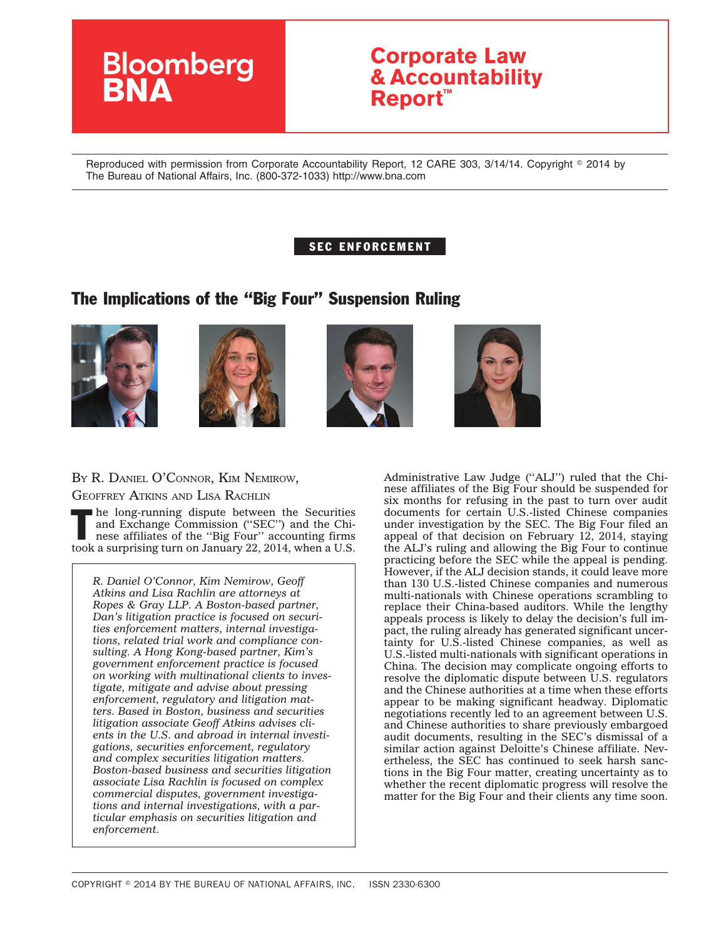# **Bloomberg**

## **Corporate Law & Accountability Report™**

Reproduced with permission from Corporate Accountability Report, 12 CARE 303, 3/14/14. Copyright © 2014 by The Bureau of National Affairs, Inc. (800-372-1033) http://www.bna.com

#### SEC ENFORCEMENT

### The Implications of the ''Big Four'' Suspension Ruling









#### BY R. DANIEL O'CONNOR, KIM NEMIROW,

GEOFFREY ATKINS AND LISA RACHLIN

The long-running dispute between the Securities<br>and Exchange Commission ("SEC") and the Chi-<br>nese affiliates of the "Big Four" accounting firms<br>tasks guineable at the security of 2014 uphases and Exchange Commission ("SEC") and the Chitook a surprising turn on January 22, 2014, when a U.S.

*R. Daniel O'Connor, Kim Nemirow, Geoff Atkins and Lisa Rachlin are attorneys at Ropes & Gray LLP. A Boston-based partner, Dan's litigation practice is focused on securities enforcement matters, internal investigations, related trial work and compliance consulting. A Hong Kong-based partner, Kim's government enforcement practice is focused on working with multinational clients to investigate, mitigate and advise about pressing enforcement, regulatory and litigation matters. Based in Boston, business and securities litigation associate Geoff Atkins advises clients in the U.S. and abroad in internal investigations, securities enforcement, regulatory and complex securities litigation matters. Boston-based business and securities litigation associate Lisa Rachlin is focused on complex commercial disputes, government investigations and internal investigations, with a particular emphasis on securities litigation and enforcement.*

Administrative Law Judge (''ALJ'') ruled that the Chinese affiliates of the Big Four should be suspended for six months for refusing in the past to turn over audit documents for certain U.S.-listed Chinese companies under investigation by the SEC. The Big Four filed an appeal of that decision on February 12, 2014, staying the ALJ's ruling and allowing the Big Four to continue practicing before the SEC while the appeal is pending. However, if the ALJ decision stands, it could leave more than 130 U.S.-listed Chinese companies and numerous multi-nationals with Chinese operations scrambling to replace their China-based auditors. While the lengthy appeals process is likely to delay the decision's full impact, the ruling already has generated significant uncertainty for U.S.-listed Chinese companies, as well as U.S.-listed multi-nationals with significant operations in China. The decision may complicate ongoing efforts to resolve the diplomatic dispute between U.S. regulators and the Chinese authorities at a time when these efforts appear to be making significant headway. Diplomatic negotiations recently led to an agreement between U.S. and Chinese authorities to share previously embargoed audit documents, resulting in the SEC's dismissal of a similar action against Deloitte's Chinese affiliate. Nevertheless, the SEC has continued to seek harsh sanctions in the Big Four matter, creating uncertainty as to whether the recent diplomatic progress will resolve the matter for the Big Four and their clients any time soon.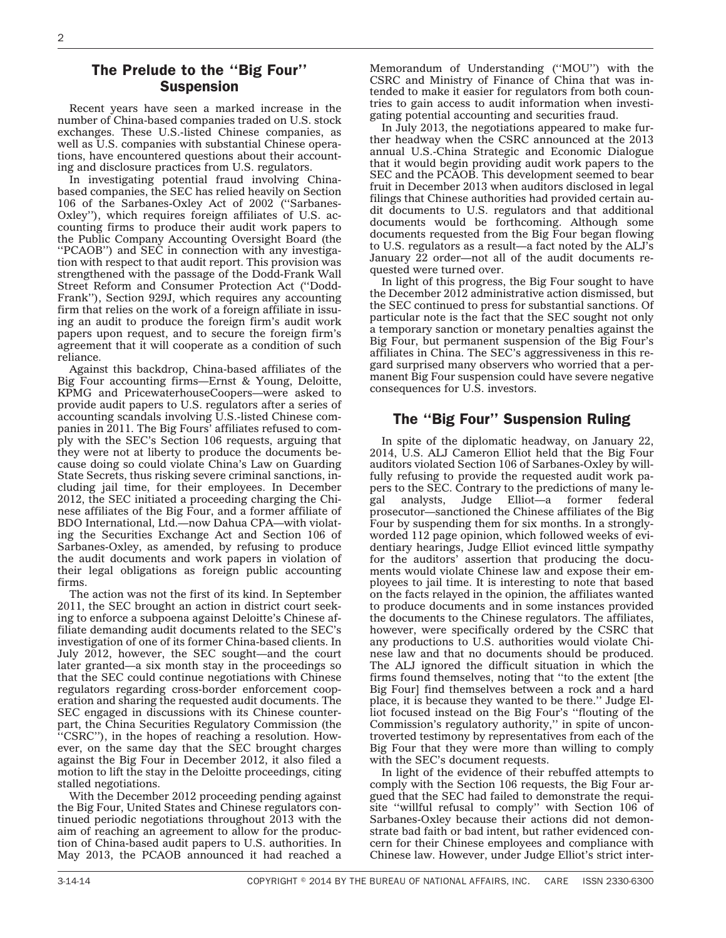#### The Prelude to the ''Big Four'' Suspension

Recent years have seen a marked increase in the number of China-based companies traded on U.S. stock exchanges. These U.S.-listed Chinese companies, as well as U.S. companies with substantial Chinese operations, have encountered questions about their accounting and disclosure practices from U.S. regulators.

In investigating potential fraud involving Chinabased companies, the SEC has relied heavily on Section 106 of the Sarbanes-Oxley Act of 2002 (''Sarbanes-Oxley''), which requires foreign affiliates of U.S. accounting firms to produce their audit work papers to the Public Company Accounting Oversight Board (the ''PCAOB'') and SEC in connection with any investigation with respect to that audit report. This provision was strengthened with the passage of the Dodd-Frank Wall Street Reform and Consumer Protection Act (''Dodd-Frank''), Section 929J, which requires any accounting firm that relies on the work of a foreign affiliate in issuing an audit to produce the foreign firm's audit work papers upon request, and to secure the foreign firm's agreement that it will cooperate as a condition of such reliance.

Against this backdrop, China-based affiliates of the Big Four accounting firms—Ernst & Young, Deloitte, KPMG and PricewaterhouseCoopers—were asked to provide audit papers to U.S. regulators after a series of accounting scandals involving U.S.-listed Chinese companies in 2011. The Big Fours' affiliates refused to comply with the SEC's Section 106 requests, arguing that they were not at liberty to produce the documents because doing so could violate China's Law on Guarding State Secrets, thus risking severe criminal sanctions, including jail time, for their employees. In December 2012, the SEC initiated a proceeding charging the Chinese affiliates of the Big Four, and a former affiliate of BDO International, Ltd.—now Dahua CPA—with violating the Securities Exchange Act and Section 106 of Sarbanes-Oxley, as amended, by refusing to produce the audit documents and work papers in violation of their legal obligations as foreign public accounting firms.

The action was not the first of its kind. In September 2011, the SEC brought an action in district court seeking to enforce a subpoena against Deloitte's Chinese affiliate demanding audit documents related to the SEC's investigation of one of its former China-based clients. In July 2012, however, the SEC sought—and the court later granted—a six month stay in the proceedings so that the SEC could continue negotiations with Chinese regulators regarding cross-border enforcement cooperation and sharing the requested audit documents. The SEC engaged in discussions with its Chinese counterpart, the China Securities Regulatory Commission (the ''CSRC''), in the hopes of reaching a resolution. However, on the same day that the SEC brought charges against the Big Four in December 2012, it also filed a motion to lift the stay in the Deloitte proceedings, citing stalled negotiations.

With the December 2012 proceeding pending against the Big Four, United States and Chinese regulators continued periodic negotiations throughout 2013 with the aim of reaching an agreement to allow for the production of China-based audit papers to U.S. authorities. In May 2013, the PCAOB announced it had reached a

Memorandum of Understanding (''MOU'') with the CSRC and Ministry of Finance of China that was intended to make it easier for regulators from both countries to gain access to audit information when investigating potential accounting and securities fraud.

In July 2013, the negotiations appeared to make further headway when the CSRC announced at the 2013 annual U.S.-China Strategic and Economic Dialogue that it would begin providing audit work papers to the SEC and the PCAOB. This development seemed to bear fruit in December 2013 when auditors disclosed in legal filings that Chinese authorities had provided certain audit documents to U.S. regulators and that additional documents would be forthcoming. Although some documents requested from the Big Four began flowing to U.S. regulators as a result—a fact noted by the ALJ's January 22 order—not all of the audit documents requested were turned over.

In light of this progress, the Big Four sought to have the December 2012 administrative action dismissed, but the SEC continued to press for substantial sanctions. Of particular note is the fact that the SEC sought not only a temporary sanction or monetary penalties against the Big Four, but permanent suspension of the Big Four's affiliates in China. The SEC's aggressiveness in this regard surprised many observers who worried that a permanent Big Four suspension could have severe negative consequences for U.S. investors.

#### The ''Big Four'' Suspension Ruling

In spite of the diplomatic headway, on January 22, 2014, U.S. ALJ Cameron Elliot held that the Big Four auditors violated Section 106 of Sarbanes-Oxley by willfully refusing to provide the requested audit work papers to the SEC. Contrary to the predictions of many legal analysts, Judge Elliot—a former federal Judge Elliot—a former prosecutor—sanctioned the Chinese affiliates of the Big Four by suspending them for six months. In a stronglyworded 112 page opinion, which followed weeks of evidentiary hearings, Judge Elliot evinced little sympathy for the auditors' assertion that producing the documents would violate Chinese law and expose their employees to jail time. It is interesting to note that based on the facts relayed in the opinion, the affiliates wanted to produce documents and in some instances provided the documents to the Chinese regulators. The affiliates, however, were specifically ordered by the CSRC that any productions to U.S. authorities would violate Chinese law and that no documents should be produced. The ALJ ignored the difficult situation in which the firms found themselves, noting that ''to the extent [the Big Four] find themselves between a rock and a hard place, it is because they wanted to be there.'' Judge Elliot focused instead on the Big Four's ''flouting of the Commission's regulatory authority,'' in spite of uncontroverted testimony by representatives from each of the Big Four that they were more than willing to comply with the SEC's document requests.

In light of the evidence of their rebuffed attempts to comply with the Section 106 requests, the Big Four argued that the SEC had failed to demonstrate the requisite ''willful refusal to comply'' with Section 106 of Sarbanes-Oxley because their actions did not demonstrate bad faith or bad intent, but rather evidenced concern for their Chinese employees and compliance with Chinese law. However, under Judge Elliot's strict inter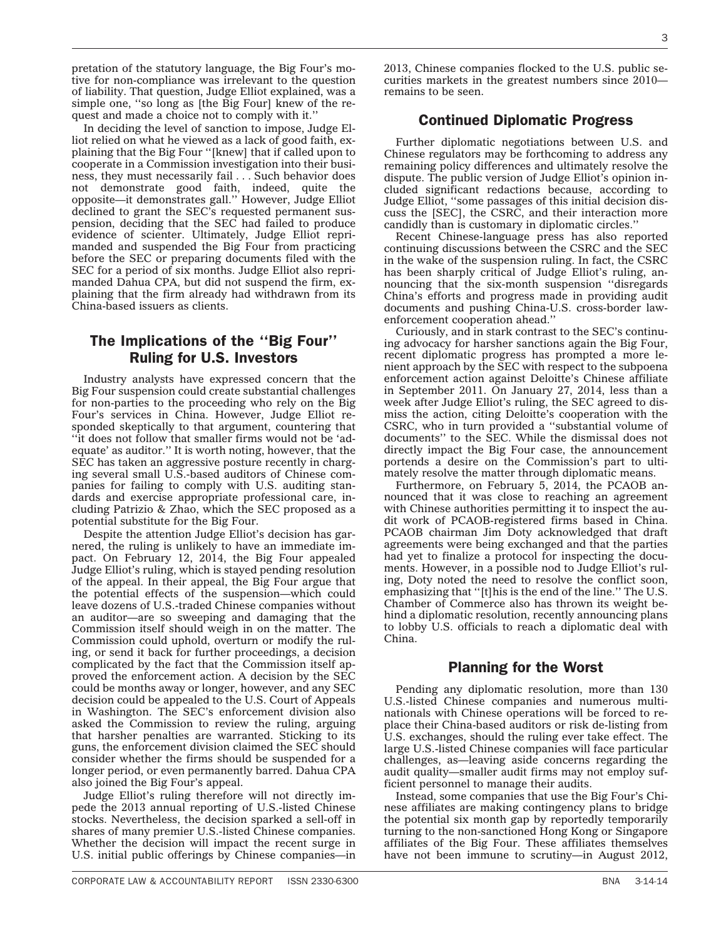pretation of the statutory language, the Big Four's motive for non-compliance was irrelevant to the question of liability. That question, Judge Elliot explained, was a simple one, ''so long as [the Big Four] knew of the request and made a choice not to comply with it.''

In deciding the level of sanction to impose, Judge Elliot relied on what he viewed as a lack of good faith, explaining that the Big Four ''[knew] that if called upon to cooperate in a Commission investigation into their business, they must necessarily fail... Such behavior does not demonstrate good faith, indeed, quite the opposite—it demonstrates gall.'' However, Judge Elliot declined to grant the SEC's requested permanent suspension, deciding that the SEC had failed to produce evidence of scienter. Ultimately, Judge Elliot reprimanded and suspended the Big Four from practicing before the SEC or preparing documents filed with the SEC for a period of six months. Judge Elliot also reprimanded Dahua CPA, but did not suspend the firm, explaining that the firm already had withdrawn from its China-based issuers as clients.

#### The Implications of the ''Big Four'' Ruling for U.S. Investors

Industry analysts have expressed concern that the Big Four suspension could create substantial challenges for non-parties to the proceeding who rely on the Big Four's services in China. However, Judge Elliot responded skeptically to that argument, countering that ''it does not follow that smaller firms would not be 'adequate' as auditor.'' It is worth noting, however, that the SEC has taken an aggressive posture recently in charging several small U.S.-based auditors of Chinese companies for failing to comply with U.S. auditing standards and exercise appropriate professional care, including Patrizio & Zhao, which the SEC proposed as a potential substitute for the Big Four.

Despite the attention Judge Elliot's decision has garnered, the ruling is unlikely to have an immediate impact. On February 12, 2014, the Big Four appealed Judge Elliot's ruling, which is stayed pending resolution of the appeal. In their appeal, the Big Four argue that the potential effects of the suspension—which could leave dozens of U.S.-traded Chinese companies without an auditor—are so sweeping and damaging that the Commission itself should weigh in on the matter. The Commission could uphold, overturn or modify the ruling, or send it back for further proceedings, a decision complicated by the fact that the Commission itself approved the enforcement action. A decision by the SEC could be months away or longer, however, and any SEC decision could be appealed to the U.S. Court of Appeals in Washington. The SEC's enforcement division also asked the Commission to review the ruling, arguing that harsher penalties are warranted. Sticking to its guns, the enforcement division claimed the SEC should consider whether the firms should be suspended for a longer period, or even permanently barred. Dahua CPA also joined the Big Four's appeal.

Judge Elliot's ruling therefore will not directly impede the 2013 annual reporting of U.S.-listed Chinese stocks. Nevertheless, the decision sparked a sell-off in shares of many premier U.S.-listed Chinese companies. Whether the decision will impact the recent surge in U.S. initial public offerings by Chinese companies—in

2013, Chinese companies flocked to the U.S. public securities markets in the greatest numbers since 2010 remains to be seen.

#### Continued Diplomatic Progress

Further diplomatic negotiations between U.S. and Chinese regulators may be forthcoming to address any remaining policy differences and ultimately resolve the dispute. The public version of Judge Elliot's opinion included significant redactions because, according to Judge Elliot, ''some passages of this initial decision discuss the [SEC], the CSRC, and their interaction more candidly than is customary in diplomatic circles.''

Recent Chinese-language press has also reported continuing discussions between the CSRC and the SEC in the wake of the suspension ruling. In fact, the CSRC has been sharply critical of Judge Elliot's ruling, announcing that the six-month suspension ''disregards China's efforts and progress made in providing audit documents and pushing China-U.S. cross-border lawenforcement cooperation ahead.''

Curiously, and in stark contrast to the SEC's continuing advocacy for harsher sanctions again the Big Four, recent diplomatic progress has prompted a more lenient approach by the SEC with respect to the subpoena enforcement action against Deloitte's Chinese affiliate in September 2011. On January 27, 2014, less than a week after Judge Elliot's ruling, the SEC agreed to dismiss the action, citing Deloitte's cooperation with the CSRC, who in turn provided a ''substantial volume of documents'' to the SEC. While the dismissal does not directly impact the Big Four case, the announcement portends a desire on the Commission's part to ultimately resolve the matter through diplomatic means.

Furthermore, on February 5, 2014, the PCAOB announced that it was close to reaching an agreement with Chinese authorities permitting it to inspect the audit work of PCAOB-registered firms based in China. PCAOB chairman Jim Doty acknowledged that draft agreements were being exchanged and that the parties had yet to finalize a protocol for inspecting the documents. However, in a possible nod to Judge Elliot's ruling, Doty noted the need to resolve the conflict soon, emphasizing that ''[t]his is the end of the line.'' The U.S. Chamber of Commerce also has thrown its weight behind a diplomatic resolution, recently announcing plans to lobby U.S. officials to reach a diplomatic deal with China.

#### Planning for the Worst

Pending any diplomatic resolution, more than 130 U.S.-listed Chinese companies and numerous multinationals with Chinese operations will be forced to replace their China-based auditors or risk de-listing from U.S. exchanges, should the ruling ever take effect. The large U.S.-listed Chinese companies will face particular challenges, as—leaving aside concerns regarding the audit quality—smaller audit firms may not employ sufficient personnel to manage their audits.

Instead, some companies that use the Big Four's Chinese affiliates are making contingency plans to bridge the potential six month gap by reportedly temporarily turning to the non-sanctioned Hong Kong or Singapore affiliates of the Big Four. These affiliates themselves have not been immune to scrutiny—in August 2012,